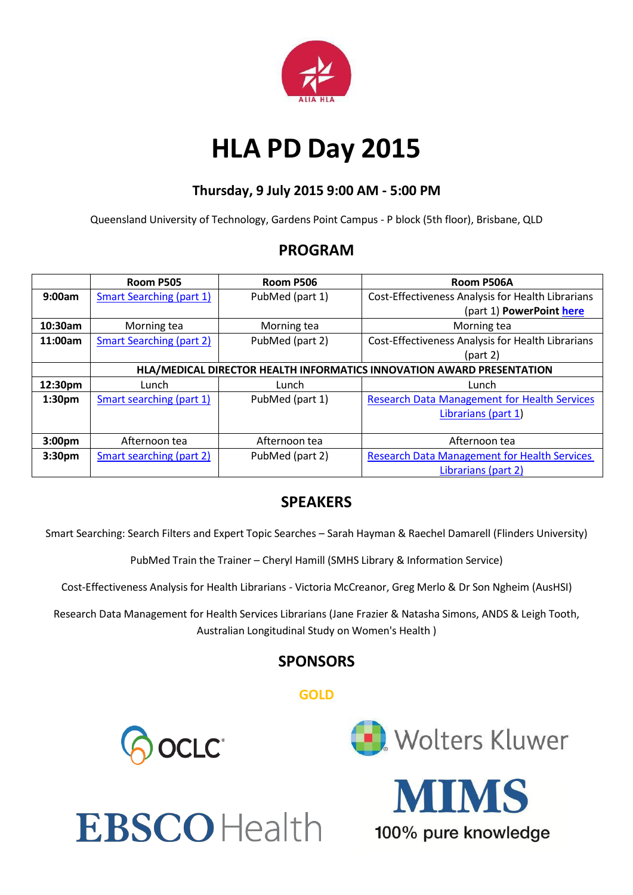

## **HLA PD Day 2015**

### **Thursday, 9 July 2015 9:00 AM - 5:00 PM**

Queensland University of Technology, Gardens Point Campus - P block (5th floor), Brisbane, QLD

## **PROGRAM**

|                    | Room P505                                                             | Room P506       | Room P506A                                          |
|--------------------|-----------------------------------------------------------------------|-----------------|-----------------------------------------------------|
| 9:00am             | <b>Smart Searching (part 1)</b>                                       | PubMed (part 1) | Cost-Effectiveness Analysis for Health Librarians   |
|                    |                                                                       |                 | (part 1) PowerPoint here                            |
| 10:30am            | Morning tea                                                           | Morning tea     | Morning tea                                         |
| 11:00am            | <b>Smart Searching (part 2)</b>                                       | PubMed (part 2) | Cost-Effectiveness Analysis for Health Librarians   |
|                    |                                                                       |                 | (part 2)                                            |
|                    | HLA/MEDICAL DIRECTOR HEALTH INFORMATICS INNOVATION AWARD PRESENTATION |                 |                                                     |
| 12:30pm            | Lunch                                                                 | Lunch           | Lunch                                               |
| 1:30 <sub>pm</sub> | Smart searching (part 1)                                              | PubMed (part 1) | <b>Research Data Management for Health Services</b> |
|                    |                                                                       |                 | Librarians (part 1)                                 |
|                    |                                                                       |                 |                                                     |
| 3:00pm             | Afternoon tea                                                         | Afternoon tea   | Afternoon tea                                       |
| 3:30pm             | Smart searching (part 2)                                              | PubMed (part 2) | <b>Research Data Management for Health Services</b> |
|                    |                                                                       |                 | Librarians (part 2)                                 |

## **SPEAKERS**

Smart Searching: Search Filters and Expert Topic Searches – Sarah Hayman & Raechel Damarell (Flinders University)

PubMed Train the Trainer – Cheryl Hamill (SMHS Library & Information Service)

Cost-Effectiveness Analysis for Health Librarians - Victoria McCreanor, Greg Merlo & Dr Son Ngheim (AusHSI)

Research Data Management for Health Services Librarians (Jane Frazier & Natasha Simons, ANDS & Leigh Tooth, Australian Longitudinal Study on Women's Health )

## **SPONSORS**

### **GOLD**